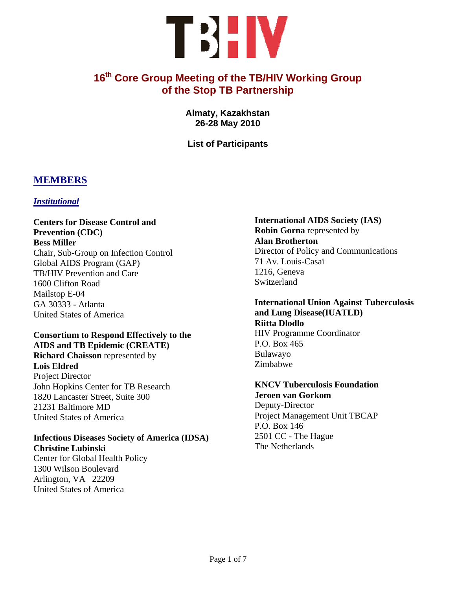# TBHV

# **16th Core Group Meeting of the TB/HIV Working Group of the Stop TB Partnership**

**Almaty, Kazakhstan 26-28 May 2010** 

**List of Participants** 

## **MEMBERS**

#### *Institutional*

**Centers for Disease Control and Prevention (CDC) Bess Miller**  Chair, Sub-Group on Infection Control Global AIDS Program (GAP) TB/HIV Prevention and Care 1600 Clifton Road Mailstop E-04 GA 30333 - Atlanta United States of America

#### **Consortium to Respond Effectively to the AIDS and TB Epidemic (CREATE) Richard Chaisson** represented by

**Lois Eldred**  Project Director John Hopkins Center for TB Research 1820 Lancaster Street, Suite 300 21231 Baltimore MD United States of America

#### **Infectious Diseases Society of America (IDSA) Christine Lubinski**

Center for Global Health Policy 1300 Wilson Boulevard Arlington, VA 22209 United States of America

#### **International AIDS Society (IAS) Robin Gorna** represented by **Alan Brotherton**  Director of Policy and Communications 71 Av. Louis-Casaï 1216, Geneva Switzerland

#### **International Union Against Tuberculosis and Lung Disease(IUATLD) Riitta Dlodlo**  HIV Programme Coordinator P.O. Box 465 Bulawayo

#### **KNCV Tuberculosis Foundation Jeroen van Gorkom**

Zimbabwe

Deputy-Director Project Management Unit TBCAP P.O. Box 146 2501 CC - The Hague The Netherlands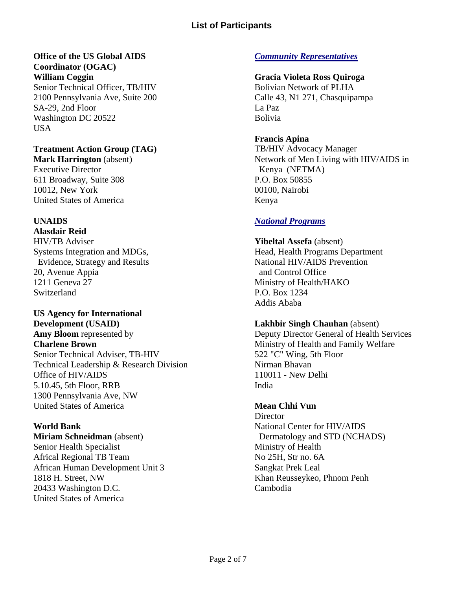# **Office of the US Global AIDS**

**Coordinator (OGAC) William Coggin**  Senior Technical Officer, TB/HIV 2100 Pennsylvania Ave, Suite 200 SA-29, 2nd Floor Washington DC 20522 USA

## **Treatment Action Group (TAG)**

**Mark Harrington** (absent) Executive Director 611 Broadway, Suite 308 10012, New York United States of America

## **UNAIDS**

**Alasdair Reid**  HIV/TB Adviser Systems Integration and MDGs, Evidence, Strategy and Results 20, Avenue Appia 1211 Geneva 27 Switzerland

# **US Agency for International Development (USAID)**

**Amy Bloom** represented by **Charlene Brown**  Senior Technical Adviser, TB-HIV Technical Leadership & Research Division Office of HIV/AIDS 5.10.45, 5th Floor, RRB 1300 Pennsylvania Ave, NW United States of America

## **World Bank**

**Miriam Schneidman** (absent) Senior Health Specialist Africal Regional TB Team African Human Development Unit 3 1818 H. Street, NW 20433 Washington D.C. United States of America

## *Community Representatives*

## **Gracia Violeta Ross Quiroga**

Bolivian Network of PLHA Calle 43, N1 271, Chasquipampa La Paz Bolivia

## **Francis Apina**

TB/HIV Advocacy Manager Network of Men Living with HIV/AIDS inKenya (NETMA) P.O. Box 50855 00100, Nairobi Kenya

## *National Programs*

**Yibeltal Assefa** (absent) Head, Health Programs Department National HIV/AIDS Prevention and Control Office Ministry of Health/HAKO P.O. Box 1234 Addis Ababa

#### **Lakhbir Singh Chauhan** (absent)

Deputy Director General of Health Services Ministry of Health and Family Welfare 522 "C" Wing, 5th Floor Nirman Bhavan 110011 - New Delhi India

## **Mean Chhi Vun**

**Director** National Center for HIV/AIDS Dermatology and STD (NCHADS) Ministry of Health No 25H, Str no. 6A Sangkat Prek Leal Khan Reusseykeo, Phnom Penh Cambodia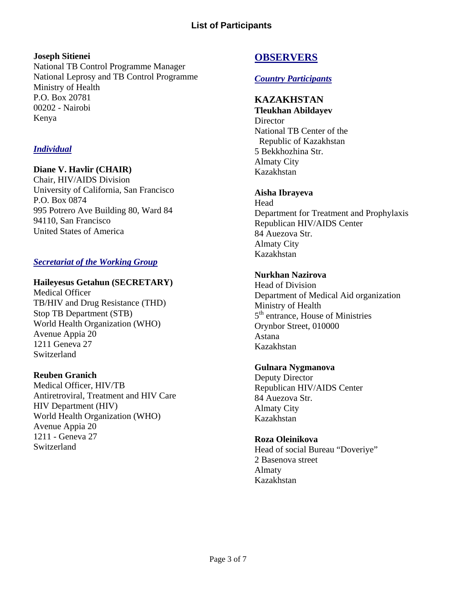#### **Joseph Sitienei**

National TB Control Programme Manager National Leprosy and TB Control Programme Ministry of Health P.O. Box 20781 00202 - Nairobi Kenya

## *Individual*

#### **Diane V. Havlir (CHAIR)**

Chair, HIV/AIDS Division University of California, San Francisco P.O. Box 0874 995 Potrero Ave Building 80, Ward 84 94110, San Francisco United States of America

## *Secretariat of the Working Group*

#### **Haileyesus Getahun (SECRETARY)**

Medical Officer TB/HIV and Drug Resistance (THD) Stop TB Department (STB) World Health Organization (WHO) Avenue Appia 20 1211 Geneva 27 **Switzerland** 

#### **Reuben Granich**

Medical Officer, HIV/TB Antiretroviral, Treatment and HIV Care HIV Department (HIV) World Health Organization (WHO) Avenue Appia 20 1211 - Geneva 27 **Switzerland** 

## **OBSERVERS**

#### *Country Participants*

#### **KAZAKHSTAN**

**Tleukhan Abildayev Director** National TB Center of the Republic of Kazakhstan 5 Bekkhozhina Str. Almaty City Kazakhstan

#### **Aisha Ibrayeva**

**Head** Department for Treatment and Prophylaxis Republican HIV/AIDS Center 84 Auezova Str. Almaty City Kazakhstan

#### **Nurkhan Nazirova**

Head of Division Department of Medical Aid organization Ministry of Health 5<sup>th</sup> entrance, House of Ministries Orynbor Street, 010000 Astana Kazakhstan

#### **Gulnara Nygmanova**

Deputy Director Republican HIV/AIDS Center 84 Auezova Str. Almaty City Kazakhstan

#### **Roza Oleinikova**

Head of social Bureau "Doveriye" 2 Basenova street Almaty Kazakhstan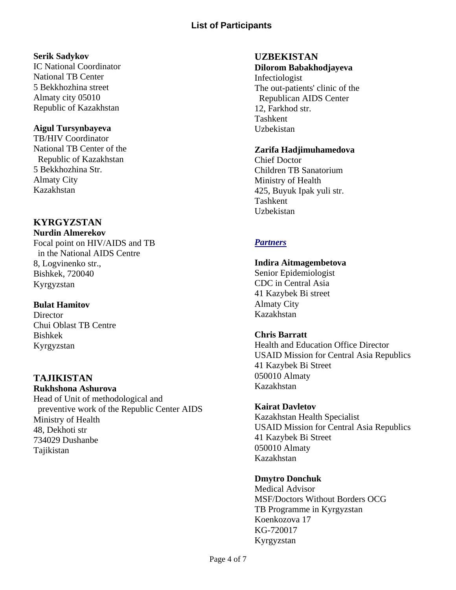#### **Serik Sadykov**

IC National Coordinator National TB Center 5 Bekkhozhina street Almaty city 05010 Republic of Kazakhstan

#### **Aigul Tursynbayeva**

TB/HIV Coordinator National TB Center of the Republic of Kazakhstan 5 Bekkhozhina Str. Almaty City Kazakhstan

# **KYRGYZSTAN**

**Nurdin Almerekov**  Focal point on HIV/AIDS and TB in the National AIDS Centre 8, Logvinenko str., Bishkek, 720040 Kyrgyzstan

## **Bulat Hamitov**

**Director** Chui Oblast TB Centre Bishkek Kyrgyzstan

# **TAJIKISTAN**

**Rukhshona Ashurova**  Head of Unit of methodological and preventive work of the Republic Center AIDS Ministry of Health 48, Dekhoti str 734029 Dushanbe Tajikistan

## **UZBEKISTAN**

Uzbekistan

#### **Dilorom Babakhodjayeva**  Infectiologist The out-patients' clinic of the Republican AIDS Center 12, Farkhod str. Tashkent

## **Zarifa Hadjimuhamedova**

Chief Doctor Children TB Sanatorium Ministry of Health 425, Buyuk Ipak yuli str. Tashkent Uzbekistan

## *Partners*

#### **Indira Aitmagembetova**

Senior Epidemiologist CDC in Central Asia 41 Kazybek Bi street Almaty City Kazakhstan

## **Chris Barratt**

Health and Education Office Director USAID Mission for Central Asia Republics 41 Kazybek Bi Street 050010 Almaty Kazakhstan

## **Kairat Davletov**

Kazakhstan Health Specialist USAID Mission for Central Asia Republics 41 Kazybek Bi Street 050010 Almaty Kazakhstan

## **Dmytro Donchuk**

Medical Advisor MSF/Doctors Without Borders OCG TB Programme in Kyrgyzstan Koenkozova 17 KG-720017 Kyrgyzstan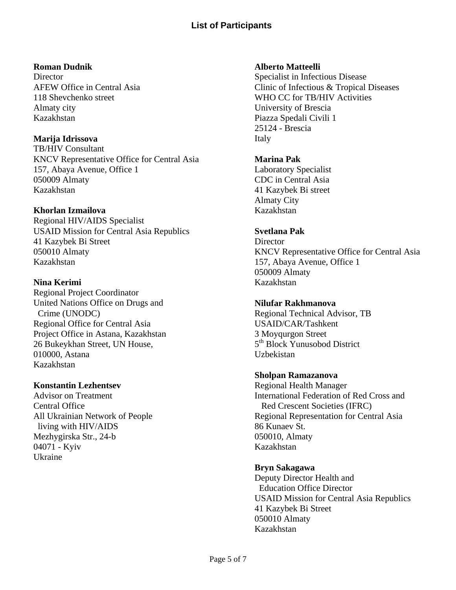#### **Roman Dudnik**

**Director** AFEW Office in Central Asia 118 Shevchenko street Almaty city Kazakhstan

## **Marija Idrissova**

TB/HIV Consultant KNCV Representative Office for Central Asia 157, Abaya Avenue, Office 1 050009 Almaty Kazakhstan

## **Khorlan Izmailova**

Regional HIV/AIDS Specialist USAID Mission for Central Asia Republics 41 Kazybek Bi Street 050010 Almaty Kazakhstan

## **Nina Kerimi**

Regional Project Coordinator United Nations Office on Drugs and Crime (UNODC) Regional Office for Central Asia Project Office in Astana, Kazakhstan 26 Bukeykhan Street, UN House, 010000, Astana Kazakhstan

## **Konstantin Lezhentsev**

Advisor on Treatment Central Office All Ukrainian Network of People living with HIV/AIDS Mezhygirska Str., 24-b 04071 - Kyiv Ukraine

#### **Alberto Matteelli**

Specialist in Infectious Disease Clinic of Infectious & Tropical Diseases WHO CC for TB/HIV Activities University of Brescia Piazza Spedali Civili 1 25124 - Brescia Italy

#### **Marina Pak**

Laboratory Specialist CDC in Central Asia 41 Kazybek Bi street Almaty City Kazakhstan

## **Svetlana Pak**

**Director** KNCV Representative Office for Central Asia 157, Abaya Avenue, Office 1 050009 Almaty Kazakhstan

## **Nilufar Rakhmanova**

Regional Technical Advisor, TB USAID/CAR/Tashkent 3 Moyqurgon Street 5th Block Yunusobod District Uzbekistan

## **Sholpan Ramazanova**

Regional Health Manager International Federation of Red Cross and Red Crescent Societies (IFRC) Regional Representation for Central Asia 86 Kunaev St. 050010, Almaty Kazakhstan

## **Bryn Sakagawa**

Deputy Director Health and Education Office Director USAID Mission for Central Asia Republics 41 Kazybek Bi Street 050010 Almaty Kazakhstan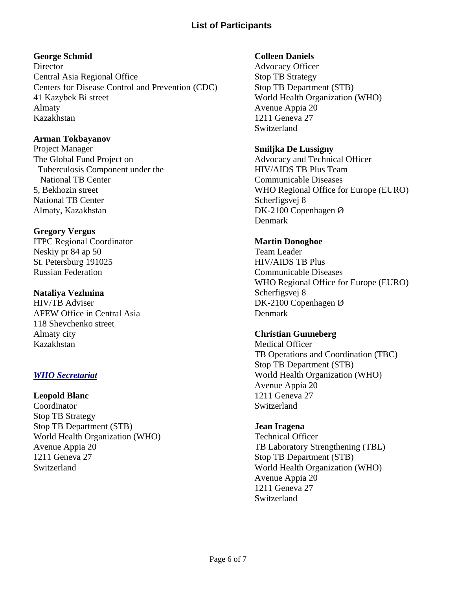## **George Schmid**

**Director** Central Asia Regional Office Centers for Disease Control and Prevention (CDC) 41 Kazybek Bi street Almaty Kazakhstan

#### **Arman Tokbayanov**

Project Manager The Global Fund Project on Tuberculosis Component under the National TB Center 5, Bekhozin street National TB Center Almaty, Kazakhstan

## **Gregory Vergus**

ITPC Regional Coordinator Neskiy pr 84 ap 50 St. Petersburg 191025 Russian Federation

#### **Nataliya Vezhnina**

HIV/TB Adviser AFEW Office in Central Asia 118 Shevchenko street Almaty city Kazakhstan

## *WHO Secretariat*

#### **Leopold Blanc**

Coordinator Stop TB Strategy Stop TB Department (STB) World Health Organization (WHO) Avenue Appia 20 1211 Geneva 27 **Switzerland** 

## **Colleen Daniels**

Advocacy Officer Stop TB Strategy Stop TB Department (STB) World Health Organization (WHO) Avenue Appia 20 1211 Geneva 27 Switzerland

## **Smiljka De Lussigny**

Advocacy and Technical Officer HIV/AIDS TB Plus Team Communicable Diseases WHO Regional Office for Europe (EURO) Scherfigsvej 8 DK-2100 Copenhagen Ø Denmark

## **Martin Donoghoe**

Team Leader HIV/AIDS TB Plus Communicable Diseases WHO Regional Office for Europe (EURO) Scherfigsvej 8 DK-2100 Copenhagen Ø Denmark

#### **Christian Gunneberg**

Medical Officer TB Operations and Coordination (TBC) Stop TB Department (STB) World Health Organization (WHO) Avenue Appia 20 1211 Geneva 27 Switzerland

#### **Jean Iragena**

Technical Officer TB Laboratory Strengthening (TBL) Stop TB Department (STB) World Health Organization (WHO) Avenue Appia 20 1211 Geneva 27 Switzerland